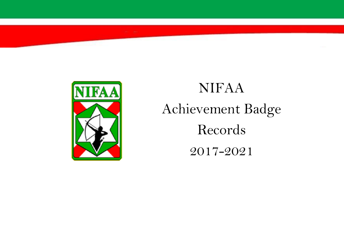

## NIFAA Achievement Badge Records 2017-2021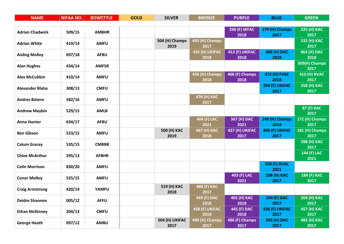| <b>NAME</b>            | <b>NIFAA NO.</b> | <b>BOWSTYLE</b> | <b>GOLD</b> | <b>SILVER</b>  | <b>BRONZE</b>          | <b>PURPLE</b>          | <b>BLUE</b>            | <b>GREEN</b>           |
|------------------------|------------------|-----------------|-------------|----------------|------------------------|------------------------|------------------------|------------------------|
|                        |                  |                 |             |                |                        |                        |                        |                        |
| <b>Adrian Chadwick</b> | 509/15           | <b>AMBHR</b>    |             |                |                        | <b>290 (F) WFAC</b>    | 279 (H) Champs         | 225 (H) KAC            |
|                        |                  |                 |             |                |                        | 2018                   | 2017                   | 2017                   |
| <b>Adrian White</b>    | 419/14           | <b>AMFU</b>     |             | 504 (H) Champs | 495 (H) Champs         |                        |                        | 332 (H) KAC            |
|                        |                  |                 |             | 2019           | 2017                   |                        |                        | 2017                   |
| <b>Aisling Molloy</b>  | 697/18           | <b>AFBU</b>     |             |                | 435 (H) UKIFAC<br>2018 | 412 (F) UKIFAC<br>2018 | 409 (H) DAC<br>2018    | 464 (H) DAC<br>2018    |
|                        |                  |                 |             |                |                        |                        |                        | 309(H) Champs          |
| <b>Alan Hughes</b>     | 434/14           | <b>AMFSR</b>    |             |                |                        |                        |                        | 2017                   |
|                        |                  |                 |             |                | 458 (H) Champs         | 406 (F) Champs         | <b>472 (H) FVAC</b>    | <b>410 (H) RVAC</b>    |
| <b>Alex McCubbin</b>   | 410/14           | <b>AMFU</b>     |             |                | 2018                   | 2018                   | 2018                   | 2017                   |
|                        |                  |                 |             |                |                        |                        | 354 (F) UKIFAC         | 358 (H) KAC            |
| <b>Alexander Blaha</b> | 308/13           | <b>CMFU</b>     |             |                |                        |                        | 2017                   | 2017                   |
| <b>Andres Botero</b>   | 582/16           | <b>AMFU</b>     |             |                | 478 (H) KAC            |                        |                        |                        |
|                        |                  |                 |             |                | 2017                   |                        |                        |                        |
| <b>Andrew Maybin</b>   | 529/15           | <b>AMLB</b>     |             |                |                        |                        |                        | 87 (F) KAC             |
|                        |                  |                 |             |                |                        |                        |                        | 2017                   |
| Anna Hunter            | 634/17           | <b>AFBU</b>     |             |                | 404 (F) LAC<br>2021    | 367 (H) DAC<br>2021    | 249 (H) Champs<br>2018 | 172 (H) Champs<br>2017 |
|                        |                  |                 |             | 500 (H) KAC    | 467 (H) KAC            | 427 (H) UKIFAC         | 409 (F) UKIFAC         | 181 (H) Champs         |
| <b>Ben Gibson</b>      | 523/15           | <b>AMFU</b>     |             | 2019           | 2018                   | 2017                   | 2017                   | 2017                   |
|                        |                  |                 |             |                |                        |                        |                        | 288 (H) KAC            |
| <b>Calum Gracey</b>    | 535/15           | <b>CMBBR</b>    |             |                |                        |                        |                        | 2017                   |
|                        |                  |                 |             |                |                        |                        |                        | 144 (F) LAC            |
| <b>Chloe McArthur</b>  | 295/13           | <b>AFBHR</b>    |             |                |                        |                        |                        | 2021                   |
| <b>Colin Morrison</b>  | 830/20           | <b>AMFU</b>     |             |                |                        |                        | <b>359 (F) RVAC</b>    |                        |
|                        |                  |                 |             |                |                        |                        | 2021                   |                        |
| <b>Conor Molloy</b>    | 525/15           | <b>AMFU</b>     |             |                |                        | 403 (F) LAC            | 236 (H) KAC            | 184 (F) KAC            |
|                        |                  |                 |             |                |                        | 2021                   | 2017                   | 2017                   |
| <b>Craig Armstrong</b> | 420/14           | <b>YAMFU</b>    |             | 519 (H) KAC    | 488 (F) KAC            |                        |                        |                        |
|                        |                  |                 |             | 2018           | 2017                   |                        |                        |                        |
| <b>Deidre Shannon</b>  | 005/12           | <b>AFFU</b>     |             |                | 449 (F) DAC<br>2018    | 402 (H) KAC<br>2018    | 244 (F) DAC<br>2017    | 204 (H) KAC<br>2017    |
|                        |                  |                 |             |                | 458 (F) UKIFAC         | 445 (F) DAC            | 426 (F) UKIFAC         | 457 (H) KAC            |
| <b>Ethan McKinney</b>  | 204/13           | <b>CMFU</b>     |             |                | 2018                   | 2018                   | 2017                   | 2017                   |
|                        |                  |                 |             | 504 (H) UKIFAC | 499 (H) Champs         | 486 (F) Champs         | 503 (H) DAC            | 482 (H) KAC            |
| <b>George Heath</b>    | 097/12           | <b>AMBU</b>     |             | 2017           | 2017                   | 2017                   | 2017                   | 2017                   |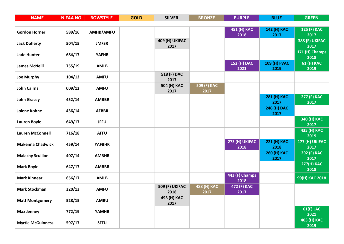| <b>NAME</b>              | <b>NIFAA NO.</b> | <b>BOWSTYLE</b> | <b>GOLD</b> | <b>SILVER</b>          | <b>BRONZE</b> | <b>PURPLE</b>  | <b>BLUE</b>         | <b>GREEN</b>              |
|--------------------------|------------------|-----------------|-------------|------------------------|---------------|----------------|---------------------|---------------------------|
|                          |                  |                 |             |                        |               |                |                     |                           |
| <b>Gordon Horner</b>     | 589/16           | AMHB/AMFU       |             |                        |               | 451 (H) KAC    | 142 (H) KAC         | 125 (F) KAC               |
|                          |                  |                 |             |                        |               | 2018           | 2017                | 2017                      |
| <b>Jack Doherty</b>      | 504/15           | <b>JMFSR</b>    |             | 409 (H) UKIFAC<br>2017 |               |                |                     | 388 (F) UKIFAC<br>2017    |
|                          |                  |                 |             |                        |               |                |                     | 171 (H) Champs            |
| <b>Jade Hunter</b>       | 684/17           | <b>YAFHB</b>    |             |                        |               |                |                     | 2018                      |
| <b>James McNeill</b>     | 755/19           | <b>AMLB</b>     |             |                        |               | 152 (H) DAC    | <b>109 (H) FVAC</b> | 61 (H) KAC                |
|                          |                  |                 |             |                        |               | 2021           | 2019                | 2019                      |
| <b>Joe Murphy</b>        | 104/12           | <b>AMFU</b>     |             | 518 (F) DAC            |               |                |                     |                           |
|                          |                  |                 |             | 2017<br>504 (H) KAC    | 509 (F) KAC   |                |                     |                           |
| <b>John Cairns</b>       | 009/12           | <b>AMFU</b>     |             | 2017                   | 2017          |                |                     |                           |
|                          |                  |                 |             |                        |               |                | 281 (H) KAC         | 277 (F) KAC               |
| <b>John Gracey</b>       | 452/14           | <b>AMBBR</b>    |             |                        |               |                | 2017                | 2017                      |
| Jolene Kohne             | 436/14           | <b>AFBBR</b>    |             |                        |               |                | 246 (H) DAC         |                           |
|                          |                  |                 |             |                        |               |                | 2017                |                           |
| Lauren Boyle             | 649/17           | <b>JFFU</b>     |             |                        |               |                |                     | 340 (H) KAC<br>2017       |
|                          |                  |                 |             |                        |               |                |                     | 435 (H) KAC               |
| <b>Lauren McConnell</b>  | 716/18           | <b>AFFU</b>     |             |                        |               |                |                     | 2019                      |
|                          |                  |                 |             |                        |               | 273 (H) UKIFAC | 221 (H) KAC         | 177 (H) UKIFAC            |
| <b>Makenna Chadwick</b>  | 459/14           | <b>YAFBHR</b>   |             |                        |               | 2018           | 2018                | 2017                      |
| <b>Malachy Scullion</b>  | 407/14           | <b>AMBHR</b>    |             |                        |               |                | 260 (H) KAC         | 292 (F) KAC               |
|                          |                  |                 |             |                        |               |                | 2017                | 2017                      |
| <b>Mark Boyle</b>        | 647/17           | <b>AMBBR</b>    |             |                        |               |                |                     | <b>277(H) KAC</b><br>2018 |
|                          |                  |                 |             |                        |               | 443 (F) Champs |                     |                           |
| <b>Mark Kinnear</b>      | 656/17           | <b>AMLB</b>     |             |                        |               | 2018           |                     | 99(H) KAC 2018            |
| <b>Mark Stockman</b>     |                  | <b>AMFU</b>     |             | 509 (F) UKIFAC         | 488 (H) KAC   | 472 (F) KAC    |                     |                           |
|                          | 320/13           |                 |             | 2018                   | 2017          | 2017           |                     |                           |
| <b>Matt Montgomery</b>   | 528/15           | <b>AMBU</b>     |             | 493 (H) KAC            |               |                |                     |                           |
|                          |                  |                 |             | 2017                   |               |                |                     |                           |
| <b>Max Jenney</b>        | 772/19           | <b>YAMHB</b>    |             |                        |               |                |                     | <b>61(F) LAC</b><br>2021  |
|                          |                  |                 |             |                        |               |                |                     | 403 (H) KAC               |
| <b>Myrtle McGuinness</b> | 597/17           | <b>SFFU</b>     |             |                        |               |                |                     | 2019                      |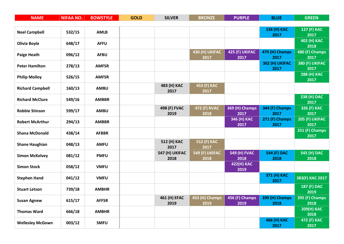| <b>NAME</b>             | <b>NIFAA NO.</b> | <b>BOWSTYLE</b> | <b>GOLD</b> | <b>SILVER</b>  | <b>BRONZE</b>  | <b>PURPLE</b>             | <b>BLUE</b>            | <b>GREEN</b>           |
|-------------------------|------------------|-----------------|-------------|----------------|----------------|---------------------------|------------------------|------------------------|
|                         |                  |                 |             |                |                |                           |                        |                        |
| <b>Noel Campbell</b>    | 532/15           | <b>AMLB</b>     |             |                |                |                           | 136 (H) KAC            | 127 (F) KAC            |
|                         |                  |                 |             |                |                |                           | 2017                   | 2017                   |
| <b>Olivia Boyle</b>     | 648/17           | <b>AFFU</b>     |             |                |                |                           |                        | 402 (H) KAC<br>2018    |
|                         |                  |                 |             |                | 430 (H) UKIFAC | 425 (F) UKIFAC            | 479 (H) Champs         | 480 (F) Champs         |
| <b>Paige Heath</b>      | 096/12           | <b>AFBU</b>     |             |                | 2017           | 2017                      | 2017                   | 2017                   |
| <b>Peter Hamilton</b>   | 278/13           | <b>AMFSR</b>    |             |                |                |                           | 362 (H) UKIFAC         | 380 (F) UKIFAC         |
|                         |                  |                 |             |                |                |                           | 2017                   | 2017                   |
| <b>Philip Molloy</b>    | 526/15           | <b>AMFSR</b>    |             |                |                |                           |                        | 288 (H) KAC            |
|                         |                  |                 |             | 483 (H) KAC    | 453 (F) KAC    |                           |                        | 2017                   |
| <b>Richard Campbell</b> | 160/13           | <b>AMBU</b>     |             | 2017           | 2017           |                           |                        |                        |
|                         |                  |                 |             |                |                |                           |                        | 238 (H) DAC            |
| <b>Richard McClure</b>  | 549/16           | <b>AMBBR</b>    |             |                |                |                           |                        | 2017                   |
| <b>Robbie Stinson</b>   | 599/17           | <b>AMBU</b>     |             | 498 (F) FVAC   | 472 (F) RVAC   | 369 (H) Champs            | 344 (F) Champs         | 326 (F) KAC            |
|                         |                  |                 |             | 2019           | 2018           | 2017                      | 2017                   | 2017                   |
| <b>Robert McArthur</b>  | 294/13           | <b>AMBBR</b>    |             |                |                | 346 (H) KAC<br>2017       | 271 (F) Champs<br>2017 | 205 (F) UKIFAC<br>2017 |
|                         |                  |                 |             |                |                |                           |                        | 251 (F) Champs         |
| <b>Shana McDonald</b>   | 438/14           | <b>AFBBR</b>    |             |                |                |                           |                        | 2017                   |
| <b>Shane Haughian</b>   | 048/13           | <b>AMFU</b>     |             | 512 (H) KAC    | 512 (F) KAC    |                           |                        |                        |
|                         |                  |                 |             | 2017           | 2017           |                           |                        |                        |
| <b>Simon McKelvey</b>   | 081/12           | <b>PMFU</b>     |             | 547 (H) UKIFAC | 549 (F) UKIFAC | <b>549 (H) FVAC</b>       | 544 (F) DAC            | 545 (H) DAC            |
|                         |                  |                 |             | 2018           | 2018           | 2018                      | 2018                   | 2018                   |
| <b>Simon Stock</b>      | 058/12           | <b>VMFU</b>     |             |                |                | <b>422(H) KAC</b><br>2019 |                        |                        |
|                         |                  |                 |             |                |                |                           | 371 (H) KAC            |                        |
| <b>Stephen Hand</b>     | 041/12           | <b>VMFU</b>     |             |                |                |                           | 2017                   | 383(F) KAC 2017        |
| <b>Stuart Letson</b>    | 739/18           | <b>AMBHR</b>    |             |                |                |                           |                        | 187 (F) DAC            |
|                         |                  |                 |             |                |                |                           |                        | 2019                   |
| <b>Susan Agnew</b>      | 615/17           | <b>AFFSR</b>    |             | 461 (H) EFAC   | 453 (H) Champs | 456 (F) Champs<br>2019    | 399 (H) Champs         | 395 (F) Champs<br>2018 |
|                         |                  |                 |             | 2019           | 2019           |                           | 2018                   | <b>209(H) KAC</b>      |
| <b>Thomas Ward</b>      | 666/18           | <b>AMBHR</b>    |             |                |                |                           |                        | 2018                   |
|                         |                  |                 |             |                |                |                           | 466 (H) KAC            | 472 (F) KAC            |
| <b>Wellesley McGown</b> | 003/12           | <b>SMFU</b>     |             |                |                |                           | 2017                   | 2017                   |